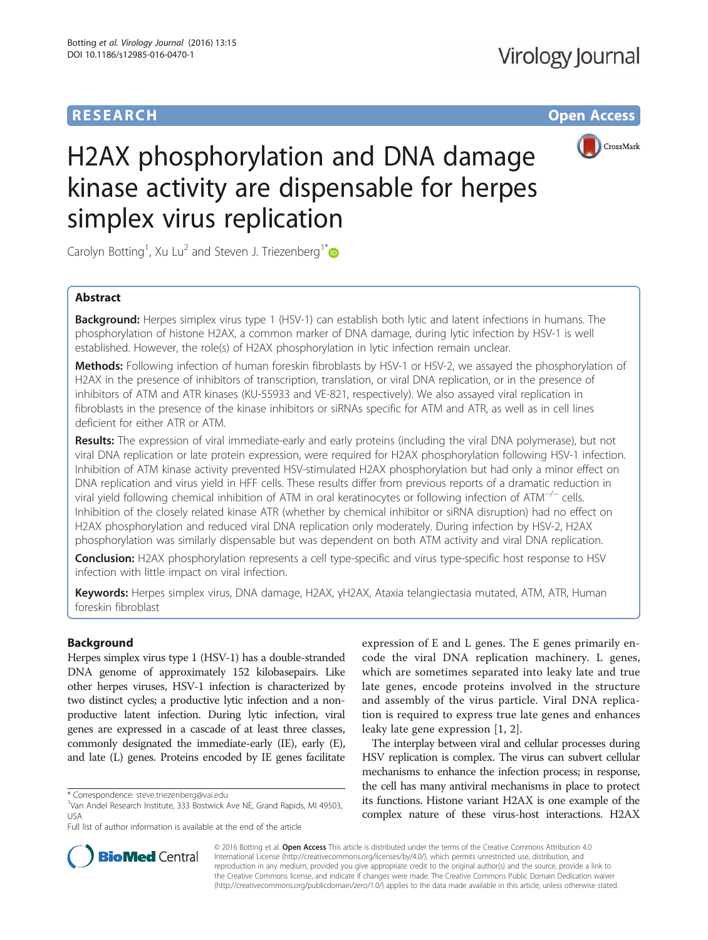# **RESEARCH CHE Open Access**



# H2AX phosphorylation and DNA damage kinase activity are dispensable for herpes simplex virus replication

Carolyn Botting<sup>1</sup>, Xu Lu<sup>2</sup> and Steven J. Triezenberg<sup>1[\\*](http://orcid.org/0000-0003-4184-5221)</sup>

## Abstract

**Background:** Herpes simplex virus type 1 (HSV-1) can establish both lytic and latent infections in humans. The phosphorylation of histone H2AX, a common marker of DNA damage, during lytic infection by HSV-1 is well established. However, the role(s) of H2AX phosphorylation in lytic infection remain unclear.

Methods: Following infection of human foreskin fibroblasts by HSV-1 or HSV-2, we assayed the phosphorylation of H2AX in the presence of inhibitors of transcription, translation, or viral DNA replication, or in the presence of inhibitors of ATM and ATR kinases (KU-55933 and VE-821, respectively). We also assayed viral replication in fibroblasts in the presence of the kinase inhibitors or siRNAs specific for ATM and ATR, as well as in cell lines deficient for either ATR or ATM.

Results: The expression of viral immediate-early and early proteins (including the viral DNA polymerase), but not viral DNA replication or late protein expression, were required for H2AX phosphorylation following HSV-1 infection. Inhibition of ATM kinase activity prevented HSV-stimulated H2AX phosphorylation but had only a minor effect on DNA replication and virus yield in HFF cells. These results differ from previous reports of a dramatic reduction in viral yield following chemical inhibition of ATM in oral keratinocytes or following infection of ATM−/<sup>−</sup> cells. Inhibition of the closely related kinase ATR (whether by chemical inhibitor or siRNA disruption) had no effect on H2AX phosphorylation and reduced viral DNA replication only moderately. During infection by HSV-2, H2AX phosphorylation was similarly dispensable but was dependent on both ATM activity and viral DNA replication.

Conclusion: H2AX phosphorylation represents a cell type-specific and virus type-specific host response to HSV infection with little impact on viral infection.

Keywords: Herpes simplex virus, DNA damage, H2AX, γH2AX, Ataxia telangiectasia mutated, ATM, ATR, Human foreskin fibroblast

## Background

Herpes simplex virus type 1 (HSV-1) has a double-stranded DNA genome of approximately 152 kilobasepairs. Like other herpes viruses, HSV-1 infection is characterized by two distinct cycles; a productive lytic infection and a nonproductive latent infection. During lytic infection, viral genes are expressed in a cascade of at least three classes, commonly designated the immediate-early (IE), early (E), and late (L) genes. Proteins encoded by IE genes facilitate

expression of E and L genes. The E genes primarily encode the viral DNA replication machinery. L genes, which are sometimes separated into leaky late and true late genes, encode proteins involved in the structure and assembly of the virus particle. Viral DNA replication is required to express true late genes and enhances leaky late gene expression [[1](#page-9-0), [2](#page-9-0)].

The interplay between viral and cellular processes during HSV replication is complex. The virus can subvert cellular mechanisms to enhance the infection process; in response, the cell has many antiviral mechanisms in place to protect its functions. Histone variant H2AX is one example of the complex nature of these virus-host interactions. H2AX



© 2016 Botting et al. Open Access This article is distributed under the terms of the Creative Commons Attribution 4.0 International License [\(http://creativecommons.org/licenses/by/4.0/](http://creativecommons.org/licenses/by/4.0/)), which permits unrestricted use, distribution, and reproduction in any medium, provided you give appropriate credit to the original author(s) and the source, provide a link to the Creative Commons license, and indicate if changes were made. The Creative Commons Public Domain Dedication waiver [\(http://creativecommons.org/publicdomain/zero/1.0/](http://creativecommons.org/publicdomain/zero/1.0/)) applies to the data made available in this article, unless otherwise stated.

<sup>\*</sup> Correspondence: [steve.triezenberg@vai.edu](mailto:steve.triezenberg@vai.edu) <sup>1</sup>

<sup>&</sup>lt;sup>1</sup>Van Andel Research Institute, 333 Bostwick Ave NE, Grand Rapids, MI 49503, USA

Full list of author information is available at the end of the article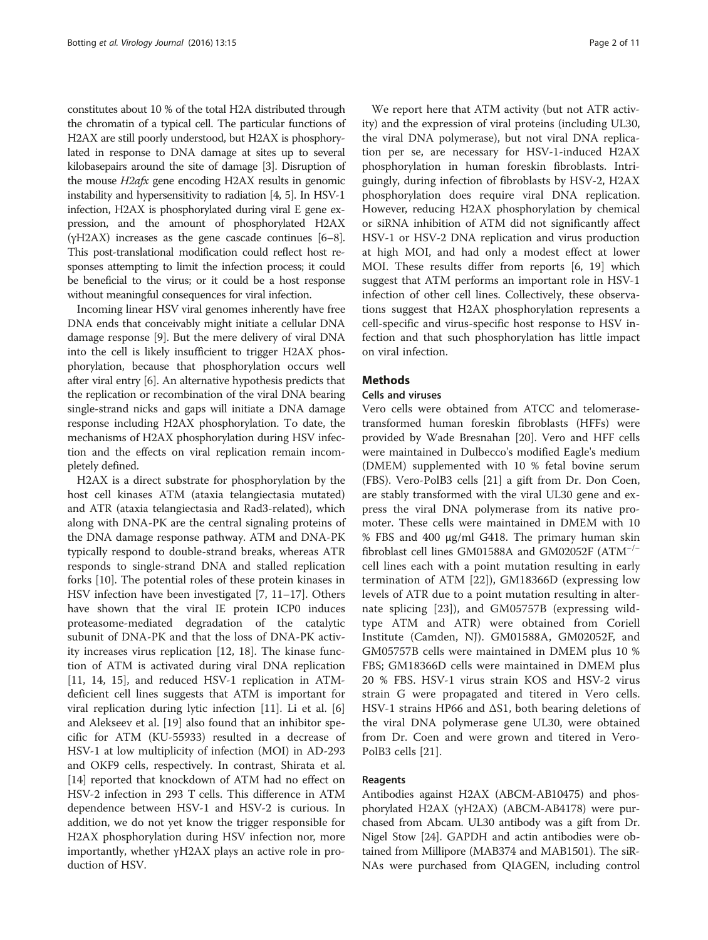constitutes about 10 % of the total H2A distributed through the chromatin of a typical cell. The particular functions of H2AX are still poorly understood, but H2AX is phosphorylated in response to DNA damage at sites up to several kilobasepairs around the site of damage [[3](#page-9-0)]. Disruption of the mouse H2afx gene encoding H2AX results in genomic instability and hypersensitivity to radiation [\[4, 5](#page-9-0)]. In HSV-1 infection, H2AX is phosphorylated during viral E gene expression, and the amount of phosphorylated H2AX (γH2AX) increases as the gene cascade continues [\[6](#page-9-0)–[8](#page-9-0)]. This post-translational modification could reflect host responses attempting to limit the infection process; it could be beneficial to the virus; or it could be a host response without meaningful consequences for viral infection.

Incoming linear HSV viral genomes inherently have free DNA ends that conceivably might initiate a cellular DNA damage response [\[9](#page-9-0)]. But the mere delivery of viral DNA into the cell is likely insufficient to trigger H2AX phosphorylation, because that phosphorylation occurs well after viral entry [[6\]](#page-9-0). An alternative hypothesis predicts that the replication or recombination of the viral DNA bearing single-strand nicks and gaps will initiate a DNA damage response including H2AX phosphorylation. To date, the mechanisms of H2AX phosphorylation during HSV infection and the effects on viral replication remain incompletely defined.

H2AX is a direct substrate for phosphorylation by the host cell kinases ATM (ataxia telangiectasia mutated) and ATR (ataxia telangiectasia and Rad3-related), which along with DNA-PK are the central signaling proteins of the DNA damage response pathway. ATM and DNA-PK typically respond to double-strand breaks, whereas ATR responds to single-strand DNA and stalled replication forks [\[10](#page-9-0)]. The potential roles of these protein kinases in HSV infection have been investigated [[7, 11](#page-9-0)–[17\]](#page-9-0). Others have shown that the viral IE protein ICP0 induces proteasome-mediated degradation of the catalytic subunit of DNA-PK and that the loss of DNA-PK activity increases virus replication [\[12, 18\]](#page-9-0). The kinase function of ATM is activated during viral DNA replication [[11, 14, 15\]](#page-9-0), and reduced HSV-1 replication in ATMdeficient cell lines suggests that ATM is important for viral replication during lytic infection [\[11](#page-9-0)]. Li et al. [\[6](#page-9-0)] and Alekseev et al. [\[19](#page-9-0)] also found that an inhibitor specific for ATM (KU-55933) resulted in a decrease of HSV-1 at low multiplicity of infection (MOI) in AD-293 and OKF9 cells, respectively. In contrast, Shirata et al. [[14\]](#page-9-0) reported that knockdown of ATM had no effect on HSV-2 infection in 293 T cells. This difference in ATM dependence between HSV-1 and HSV-2 is curious. In addition, we do not yet know the trigger responsible for H2AX phosphorylation during HSV infection nor, more importantly, whether γH2AX plays an active role in production of HSV.

We report here that ATM activity (but not ATR activity) and the expression of viral proteins (including UL30, the viral DNA polymerase), but not viral DNA replication per se, are necessary for HSV-1-induced H2AX phosphorylation in human foreskin fibroblasts. Intriguingly, during infection of fibroblasts by HSV-2, H2AX phosphorylation does require viral DNA replication. However, reducing H2AX phosphorylation by chemical or siRNA inhibition of ATM did not significantly affect HSV-1 or HSV-2 DNA replication and virus production at high MOI, and had only a modest effect at lower MOI. These results differ from reports [[6](#page-9-0), [19\]](#page-9-0) which suggest that ATM performs an important role in HSV-1 infection of other cell lines. Collectively, these observations suggest that H2AX phosphorylation represents a cell-specific and virus-specific host response to HSV infection and that such phosphorylation has little impact on viral infection.

## **Methods**

## Cells and viruses

Vero cells were obtained from ATCC and telomerasetransformed human foreskin fibroblasts (HFFs) were provided by Wade Bresnahan [[20](#page-9-0)]. Vero and HFF cells were maintained in Dulbecco's modified Eagle's medium (DMEM) supplemented with 10 % fetal bovine serum (FBS). Vero-PolB3 cells [[21](#page-9-0)] a gift from Dr. Don Coen, are stably transformed with the viral UL30 gene and express the viral DNA polymerase from its native promoter. These cells were maintained in DMEM with 10 % FBS and 400 μg/ml G418. The primary human skin fibroblast cell lines GM01588A and GM02052F (ATM−/<sup>−</sup> cell lines each with a point mutation resulting in early termination of ATM [\[22](#page-9-0)]), GM18366D (expressing low levels of ATR due to a point mutation resulting in alternate splicing [[23](#page-9-0)]), and GM05757B (expressing wildtype ATM and ATR) were obtained from Coriell Institute (Camden, NJ). GM01588A, GM02052F, and GM05757B cells were maintained in DMEM plus 10 % FBS; GM18366D cells were maintained in DMEM plus 20 % FBS. HSV-1 virus strain KOS and HSV-2 virus strain G were propagated and titered in Vero cells. HSV-1 strains HP66 and ΔS1, both bearing deletions of the viral DNA polymerase gene UL30, were obtained from Dr. Coen and were grown and titered in Vero-PolB3 cells [\[21](#page-9-0)].

#### Reagents

Antibodies against H2AX (ABCM-AB10475) and phosphorylated H2AX (γH2AX) (ABCM-AB4178) were purchased from Abcam. UL30 antibody was a gift from Dr. Nigel Stow [\[24\]](#page-9-0). GAPDH and actin antibodies were obtained from Millipore (MAB374 and MAB1501). The siR-NAs were purchased from QIAGEN, including control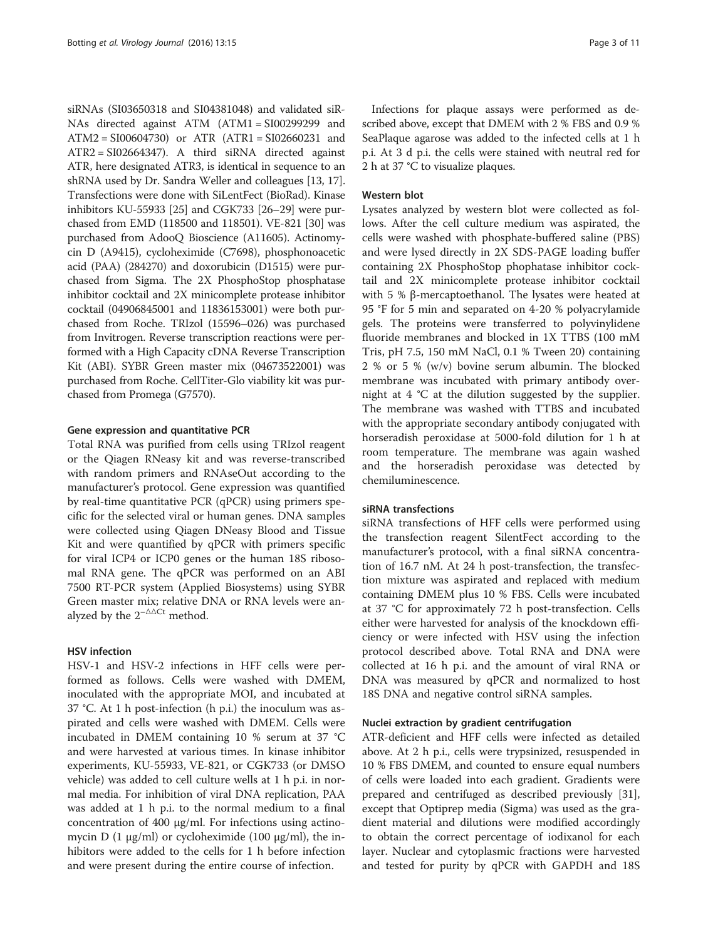siRNAs (SI03650318 and SI04381048) and validated siR-NAs directed against ATM (ATM1 = SI00299299 and ATM2 = SI00604730) or ATR (ATR1 = SI02660231 and ATR2 = SI02664347). A third siRNA directed against ATR, here designated ATR3, is identical in sequence to an shRNA used by Dr. Sandra Weller and colleagues [\[13, 17](#page-9-0)]. Transfections were done with SiLentFect (BioRad). Kinase inhibitors KU-55933 [\[25](#page-9-0)] and CGK733 [[26](#page-9-0)–[29](#page-9-0)] were purchased from EMD (118500 and 118501). VE-821 [[30\]](#page-9-0) was purchased from AdooQ Bioscience (A11605). Actinomycin D (A9415), cycloheximide (C7698), phosphonoacetic acid (PAA) (284270) and doxorubicin (D1515) were purchased from Sigma. The 2X PhosphoStop phosphatase inhibitor cocktail and 2X minicomplete protease inhibitor cocktail (04906845001 and 11836153001) were both purchased from Roche. TRIzol (15596–026) was purchased from Invitrogen. Reverse transcription reactions were performed with a High Capacity cDNA Reverse Transcription Kit (ABI). SYBR Green master mix (04673522001) was purchased from Roche. CellTiter-Glo viability kit was purchased from Promega (G7570).

#### Gene expression and quantitative PCR

Total RNA was purified from cells using TRIzol reagent or the Qiagen RNeasy kit and was reverse-transcribed with random primers and RNAseOut according to the manufacturer's protocol. Gene expression was quantified by real-time quantitative PCR (qPCR) using primers specific for the selected viral or human genes. DNA samples were collected using Qiagen DNeasy Blood and Tissue Kit and were quantified by qPCR with primers specific for viral ICP4 or ICP0 genes or the human 18S ribosomal RNA gene. The qPCR was performed on an ABI 7500 RT-PCR system (Applied Biosystems) using SYBR Green master mix; relative DNA or RNA levels were analyzed by the  $2^{-\Delta\Delta Ct}$  method.

#### HSV infection

HSV-1 and HSV-2 infections in HFF cells were performed as follows. Cells were washed with DMEM, inoculated with the appropriate MOI, and incubated at 37 °C. At 1 h post-infection (h p.i.) the inoculum was aspirated and cells were washed with DMEM. Cells were incubated in DMEM containing 10 % serum at 37 °C and were harvested at various times. In kinase inhibitor experiments, KU-55933, VE-821, or CGK733 (or DMSO vehicle) was added to cell culture wells at 1 h p.i. in normal media. For inhibition of viral DNA replication, PAA was added at 1 h p.i. to the normal medium to a final concentration of 400 μg/ml. For infections using actinomycin D (1  $\mu$ g/ml) or cycloheximide (100  $\mu$ g/ml), the inhibitors were added to the cells for 1 h before infection and were present during the entire course of infection.

Infections for plaque assays were performed as described above, except that DMEM with 2 % FBS and 0.9 % SeaPlaque agarose was added to the infected cells at 1 h p.i. At 3 d p.i. the cells were stained with neutral red for 2 h at 37 °C to visualize plaques.

#### Western blot

Lysates analyzed by western blot were collected as follows. After the cell culture medium was aspirated, the cells were washed with phosphate-buffered saline (PBS) and were lysed directly in 2X SDS-PAGE loading buffer containing 2X PhosphoStop phophatase inhibitor cocktail and 2X minicomplete protease inhibitor cocktail with 5 % β-mercaptoethanol. The lysates were heated at 95 °F for 5 min and separated on 4-20 % polyacrylamide gels. The proteins were transferred to polyvinylidene fluoride membranes and blocked in 1X TTBS (100 mM Tris, pH 7.5, 150 mM NaCl, 0.1 % Tween 20) containing 2 % or 5 % (w/v) bovine serum albumin. The blocked membrane was incubated with primary antibody overnight at 4 °C at the dilution suggested by the supplier. The membrane was washed with TTBS and incubated with the appropriate secondary antibody conjugated with horseradish peroxidase at 5000-fold dilution for 1 h at room temperature. The membrane was again washed and the horseradish peroxidase was detected by chemiluminescence.

## siRNA transfections

siRNA transfections of HFF cells were performed using the transfection reagent SilentFect according to the manufacturer's protocol, with a final siRNA concentration of 16.7 nM. At 24 h post-transfection, the transfection mixture was aspirated and replaced with medium containing DMEM plus 10 % FBS. Cells were incubated at 37 °C for approximately 72 h post-transfection. Cells either were harvested for analysis of the knockdown efficiency or were infected with HSV using the infection protocol described above. Total RNA and DNA were collected at 16 h p.i. and the amount of viral RNA or DNA was measured by qPCR and normalized to host 18S DNA and negative control siRNA samples.

#### Nuclei extraction by gradient centrifugation

ATR-deficient and HFF cells were infected as detailed above. At 2 h p.i., cells were trypsinized, resuspended in 10 % FBS DMEM, and counted to ensure equal numbers of cells were loaded into each gradient. Gradients were prepared and centrifuged as described previously [\[31](#page-9-0)], except that Optiprep media (Sigma) was used as the gradient material and dilutions were modified accordingly to obtain the correct percentage of iodixanol for each layer. Nuclear and cytoplasmic fractions were harvested and tested for purity by qPCR with GAPDH and 18S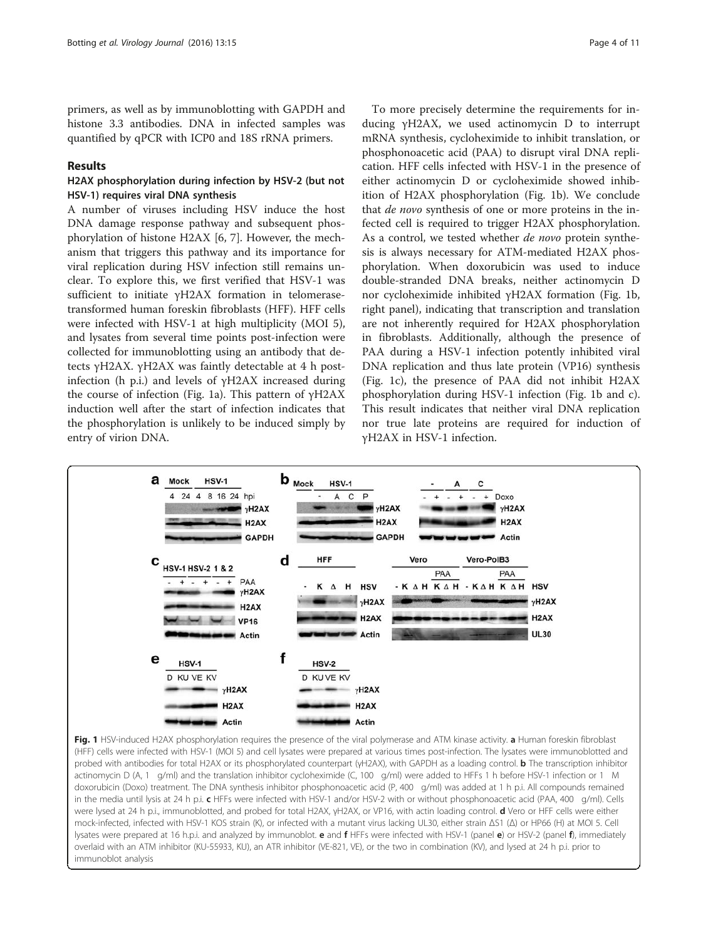<span id="page-3-0"></span>primers, as well as by immunoblotting with GAPDH and histone 3.3 antibodies. DNA in infected samples was quantified by qPCR with ICP0 and 18S rRNA primers.

#### Results

## H2AX phosphorylation during infection by HSV-2 (but not HSV-1) requires viral DNA synthesis

A number of viruses including HSV induce the host DNA damage response pathway and subsequent phosphorylation of histone H2AX [[6, 7\]](#page-9-0). However, the mechanism that triggers this pathway and its importance for viral replication during HSV infection still remains unclear. To explore this, we first verified that HSV-1 was sufficient to initiate γH2AX formation in telomerasetransformed human foreskin fibroblasts (HFF). HFF cells were infected with HSV-1 at high multiplicity (MOI 5), and lysates from several time points post-infection were collected for immunoblotting using an antibody that detects γH2AX. γH2AX was faintly detectable at 4 h postinfection (h p.i.) and levels of γH2AX increased during the course of infection (Fig. 1a). This pattern of γH2AX induction well after the start of infection indicates that the phosphorylation is unlikely to be induced simply by entry of virion DNA.

To more precisely determine the requirements for inducing γH2AX, we used actinomycin D to interrupt mRNA synthesis, cycloheximide to inhibit translation, or phosphonoacetic acid (PAA) to disrupt viral DNA replication. HFF cells infected with HSV-1 in the presence of either actinomycin D or cycloheximide showed inhibition of H2AX phosphorylation (Fig. 1b). We conclude that *de novo* synthesis of one or more proteins in the infected cell is required to trigger H2AX phosphorylation. As a control, we tested whether de novo protein synthesis is always necessary for ATM-mediated H2AX phosphorylation. When doxorubicin was used to induce double-stranded DNA breaks, neither actinomycin D nor cycloheximide inhibited γH2AX formation (Fig. 1b, right panel), indicating that transcription and translation are not inherently required for H2AX phosphorylation in fibroblasts. Additionally, although the presence of PAA during a HSV-1 infection potently inhibited viral DNA replication and thus late protein (VP16) synthesis (Fig. 1c), the presence of PAA did not inhibit H2AX phosphorylation during HSV-1 infection (Fig. 1b and c). This result indicates that neither viral DNA replication nor true late proteins are required for induction of γH2AX in HSV-1 infection.



(HFF) cells were infected with HSV-1 (MOI 5) and cell lysates were prepared at various times post-infection. The lysates were immunoblotted and probed with antibodies for total H2AX or its phosphorylated counterpart (γH2AX), with GAPDH as a loading control. **b** The transcription inhibitor actinomycin D (A, 1 μg/ml) and the translation inhibitor cycloheximide (C, 100 μg/ml) were added to HFFs 1 h before HSV-1 infection or 1 μM doxorubicin (Doxo) treatment. The DNA synthesis inhibitor phosphonoacetic acid (P, 400 μg/ml) was added at 1 h p.i. All compounds remained in the media until lysis at 24 h p.i. c HFFs were infected with HSV-1 and/or HSV-2 with or without phosphonoacetic acid (PAA, 400 μg/ml). Cells were lysed at 24 h p.i., immunoblotted, and probed for total H2AX, γH2AX, or VP16, with actin loading control. d Vero or HFF cells were either mock-infected, infected with HSV-1 KOS strain (K), or infected with a mutant virus lacking UL30, either strain ΔS1 (Δ) or HP66 (H) at MOI 5. Cell lysates were prepared at 16 h.p.i. and analyzed by immunoblot. e and fHFFs were infected with HSV-1 (panel e) or HSV-2 (panel f), immediately overlaid with an ATM inhibitor (KU-55933, KU), an ATR inhibitor (VE-821, VE), or the two in combination (KV), and lysed at 24 h p.i. prior to immunoblot analysis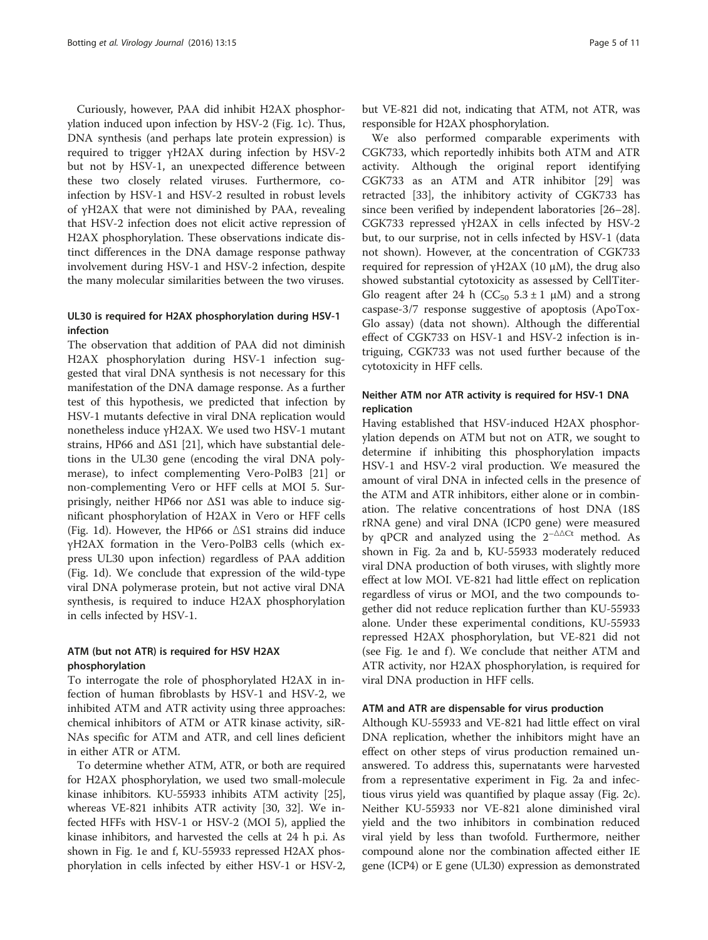Curiously, however, PAA did inhibit H2AX phosphorylation induced upon infection by HSV-2 (Fig. [1c](#page-3-0)). Thus, DNA synthesis (and perhaps late protein expression) is required to trigger γH2AX during infection by HSV-2 but not by HSV-1, an unexpected difference between these two closely related viruses. Furthermore, coinfection by HSV-1 and HSV-2 resulted in robust levels of γH2AX that were not diminished by PAA, revealing that HSV-2 infection does not elicit active repression of H2AX phosphorylation. These observations indicate distinct differences in the DNA damage response pathway involvement during HSV-1 and HSV-2 infection, despite the many molecular similarities between the two viruses.

## UL30 is required for H2AX phosphorylation during HSV-1 infection

The observation that addition of PAA did not diminish H2AX phosphorylation during HSV-1 infection suggested that viral DNA synthesis is not necessary for this manifestation of the DNA damage response. As a further test of this hypothesis, we predicted that infection by HSV-1 mutants defective in viral DNA replication would nonetheless induce γH2AX. We used two HSV-1 mutant strains, HP66 and ΔS1 [[21\]](#page-9-0), which have substantial deletions in the UL30 gene (encoding the viral DNA polymerase), to infect complementing Vero-PolB3 [\[21](#page-9-0)] or non-complementing Vero or HFF cells at MOI 5. Surprisingly, neither HP66 nor ΔS1 was able to induce significant phosphorylation of H2AX in Vero or HFF cells (Fig. [1d](#page-3-0)). However, the HP66 or ΔS1 strains did induce γH2AX formation in the Vero-PolB3 cells (which express UL30 upon infection) regardless of PAA addition (Fig. [1d](#page-3-0)). We conclude that expression of the wild-type viral DNA polymerase protein, but not active viral DNA synthesis, is required to induce H2AX phosphorylation in cells infected by HSV-1.

## ATM (but not ATR) is required for HSV H2AX phosphorylation

To interrogate the role of phosphorylated H2AX in infection of human fibroblasts by HSV-1 and HSV-2, we inhibited ATM and ATR activity using three approaches: chemical inhibitors of ATM or ATR kinase activity, siR-NAs specific for ATM and ATR, and cell lines deficient in either ATR or ATM.

To determine whether ATM, ATR, or both are required for H2AX phosphorylation, we used two small-molecule kinase inhibitors. KU-55933 inhibits ATM activity [[25](#page-9-0)], whereas VE-821 inhibits ATR activity [[30](#page-9-0), [32\]](#page--1-0). We infected HFFs with HSV-1 or HSV-2 (MOI 5), applied the kinase inhibitors, and harvested the cells at 24 h p.i. As shown in Fig. [1e](#page-3-0) and [f,](#page-3-0) KU-55933 repressed H2AX phosphorylation in cells infected by either HSV-1 or HSV-2,

but VE-821 did not, indicating that ATM, not ATR, was responsible for H2AX phosphorylation.

We also performed comparable experiments with CGK733, which reportedly inhibits both ATM and ATR activity. Although the original report identifying CGK733 as an ATM and ATR inhibitor [\[29\]](#page-9-0) was retracted [\[33\]](#page--1-0), the inhibitory activity of CGK733 has since been verified by independent laboratories [[26](#page-9-0)–[28](#page-9-0)]. CGK733 repressed γH2AX in cells infected by HSV-2 but, to our surprise, not in cells infected by HSV-1 (data not shown). However, at the concentration of CGK733 required for repression of γH2AX (10 μM), the drug also showed substantial cytotoxicity as assessed by CellTiter-Glo reagent after 24 h (CC<sub>50</sub> 5.3  $\pm$  1  $\mu$ M) and a strong caspase-3/7 response suggestive of apoptosis (ApoTox-Glo assay) (data not shown). Although the differential effect of CGK733 on HSV-1 and HSV-2 infection is intriguing, CGK733 was not used further because of the cytotoxicity in HFF cells.

## Neither ATM nor ATR activity is required for HSV-1 DNA replication

Having established that HSV-induced H2AX phosphorylation depends on ATM but not on ATR, we sought to determine if inhibiting this phosphorylation impacts HSV-1 and HSV-2 viral production. We measured the amount of viral DNA in infected cells in the presence of the ATM and ATR inhibitors, either alone or in combination. The relative concentrations of host DNA (18S rRNA gene) and viral DNA (ICP0 gene) were measured by qPCR and analyzed using the  $2^{-\Delta\Delta Ct}$  method. As shown in Fig. [2a](#page-5-0) and [b,](#page-5-0) KU-55933 moderately reduced viral DNA production of both viruses, with slightly more effect at low MOI. VE-821 had little effect on replication regardless of virus or MOI, and the two compounds together did not reduce replication further than KU-55933 alone. Under these experimental conditions, KU-55933 repressed H2AX phosphorylation, but VE-821 did not (see Fig. [1e](#page-3-0) and [f](#page-3-0)). We conclude that neither ATM and ATR activity, nor H2AX phosphorylation, is required for viral DNA production in HFF cells.

#### ATM and ATR are dispensable for virus production

Although KU-55933 and VE-821 had little effect on viral DNA replication, whether the inhibitors might have an effect on other steps of virus production remained unanswered. To address this, supernatants were harvested from a representative experiment in Fig. [2a](#page-5-0) and infectious virus yield was quantified by plaque assay (Fig. [2c](#page-5-0)). Neither KU-55933 nor VE-821 alone diminished viral yield and the two inhibitors in combination reduced viral yield by less than twofold. Furthermore, neither compound alone nor the combination affected either IE gene (ICP4) or E gene (UL30) expression as demonstrated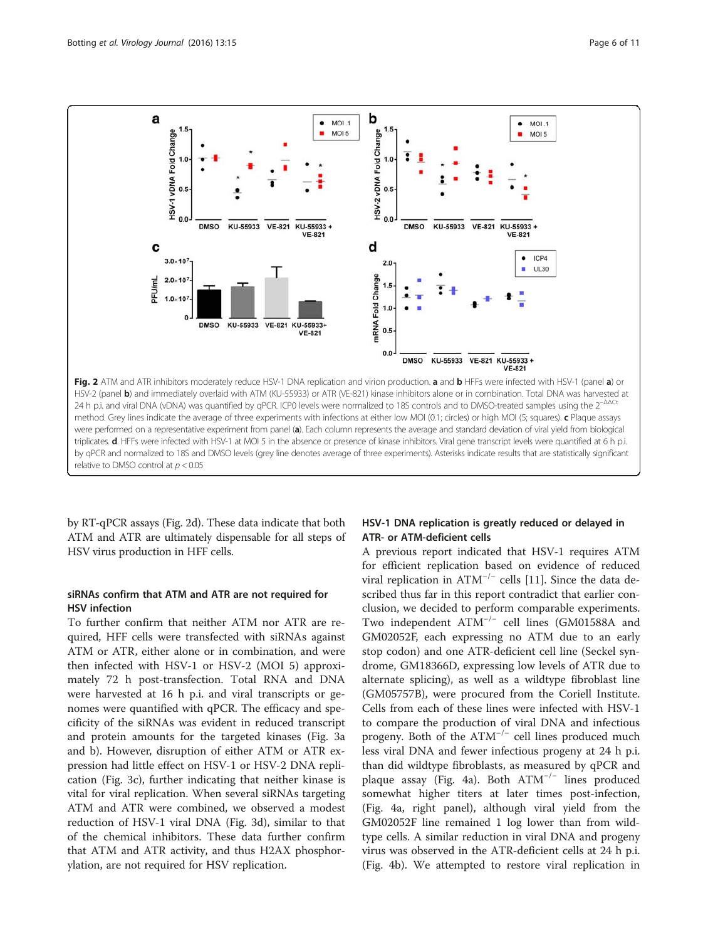<span id="page-5-0"></span>a b  $\bullet$ MOI.1  $\bullet$ MOL<sub>1</sub> MOI 5 HSV-2 vDNA Fold Change MOI 5 HSV-1 vDNA Fold Change  $0.5$  $0.5$  $\mathbf{0}$ KU-55933 VE-821 KU-55933 + **DMSO** KU-55933 VE-821 KU-55933 + **DMSO VE-821 VE-821** d C ICP4  $\bullet$  $3.0 \times 10$  $2.0$ **UL30**  $2.0\times10$ mRNA Fold Change PFU/mL  $1.0 \times 10$  $1.0$ **DMSO** KU-55933 VE-821 KU-55933+  $0.5$ **VE-821**  $0.0$ **DMSO** KU-55933 VE-821 KU-55933 + **VE-821** Fig. 2 ATM and ATR inhibitors moderately reduce HSV-1 DNA replication and virion production. a and b HFFs were infected with HSV-1 (panel a) or HSV-2 (panel b) and immediately overlaid with ATM (KU-55933) or ATR (VE-821) kinase inhibitors alone or in combination. Total DNA was harvested at 24 h p.i. and viral DNA (vDNA) was quantified by qPCR. ICP0 levels were normalized to 18S controls and to DMSO-treated samples using the 2<sup>-ΔΔCt</sup> method. Grey lines indicate the average of three experiments with infections at either low MOI (0.1; circles) or high MOI (5; squares). c Plague assays were performed on a representative experiment from panel (a). Each column represents the average and standard deviation of viral yield from biological triplicates. d. HFFs were infected with HSV-1 at MOI 5 in the absence or presence of kinase inhibitors. Viral gene transcript levels were quantified at 6 h p.i. by qPCR and normalized to 18S and DMSO levels (grey line denotes average of three experiments). Asterisks indicate results that are statistically significant relative to DMSO control at  $p < 0.05$ 

by RT-qPCR assays (Fig. 2d). These data indicate that both ATM and ATR are ultimately dispensable for all steps of HSV virus production in HFF cells.

## siRNAs confirm that ATM and ATR are not required for HSV infection

To further confirm that neither ATM nor ATR are required, HFF cells were transfected with siRNAs against ATM or ATR, either alone or in combination, and were then infected with HSV-1 or HSV-2 (MOI 5) approximately 72 h post-transfection. Total RNA and DNA were harvested at 16 h p.i. and viral transcripts or genomes were quantified with qPCR. The efficacy and specificity of the siRNAs was evident in reduced transcript and protein amounts for the targeted kinases (Fig. [3a](#page-6-0) and [b\)](#page-6-0). However, disruption of either ATM or ATR expression had little effect on HSV-1 or HSV-2 DNA replication (Fig. [3c](#page-6-0)), further indicating that neither kinase is vital for viral replication. When several siRNAs targeting ATM and ATR were combined, we observed a modest reduction of HSV-1 viral DNA (Fig. [3d\)](#page-6-0), similar to that of the chemical inhibitors. These data further confirm that ATM and ATR activity, and thus H2AX phosphorylation, are not required for HSV replication.

## HSV-1 DNA replication is greatly reduced or delayed in ATR- or ATM-deficient cells

A previous report indicated that HSV-1 requires ATM for efficient replication based on evidence of reduced viral replication in  $ATM^{-/-}$  cells [[11\]](#page-9-0). Since the data described thus far in this report contradict that earlier conclusion, we decided to perform comparable experiments. Two independent ATM−/<sup>−</sup> cell lines (GM01588A and GM02052F, each expressing no ATM due to an early stop codon) and one ATR-deficient cell line (Seckel syndrome, GM18366D, expressing low levels of ATR due to alternate splicing), as well as a wildtype fibroblast line (GM05757B), were procured from the Coriell Institute. Cells from each of these lines were infected with HSV-1 to compare the production of viral DNA and infectious progeny. Both of the  $ATM^{-/-}$  cell lines produced much less viral DNA and fewer infectious progeny at 24 h p.i. than did wildtype fibroblasts, as measured by qPCR and plaque assay (Fig. [4a](#page-7-0)). Both  $ATM^{-/-}$  lines produced somewhat higher titers at later times post-infection, (Fig. [4a](#page-7-0), right panel), although viral yield from the GM02052F line remained 1 log lower than from wildtype cells. A similar reduction in viral DNA and progeny virus was observed in the ATR-deficient cells at 24 h p.i. (Fig. [4b](#page-7-0)). We attempted to restore viral replication in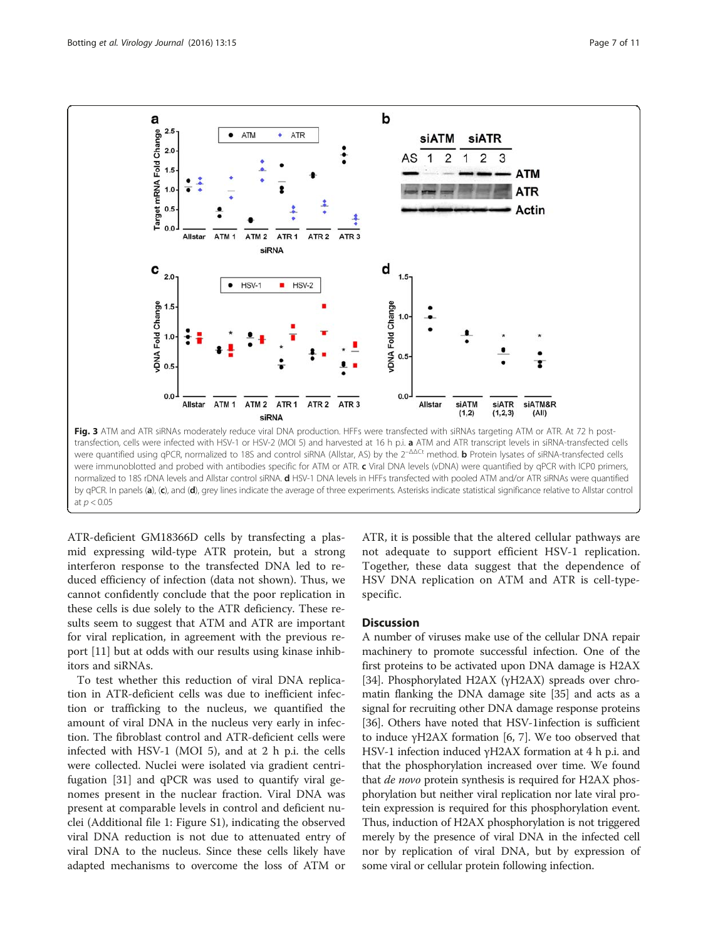<span id="page-6-0"></span>

ATR-deficient GM18366D cells by transfecting a plasmid expressing wild-type ATR protein, but a strong interferon response to the transfected DNA led to reduced efficiency of infection (data not shown). Thus, we cannot confidently conclude that the poor replication in these cells is due solely to the ATR deficiency. These results seem to suggest that ATM and ATR are important for viral replication, in agreement with the previous report [[11\]](#page-9-0) but at odds with our results using kinase inhibitors and siRNAs.

To test whether this reduction of viral DNA replication in ATR-deficient cells was due to inefficient infection or trafficking to the nucleus, we quantified the amount of viral DNA in the nucleus very early in infection. The fibroblast control and ATR-deficient cells were infected with HSV-1 (MOI 5), and at 2 h p.i. the cells were collected. Nuclei were isolated via gradient centrifugation [[31\]](#page-9-0) and qPCR was used to quantify viral genomes present in the nuclear fraction. Viral DNA was present at comparable levels in control and deficient nuclei (Additional file [1](#page-9-0): Figure S1), indicating the observed viral DNA reduction is not due to attenuated entry of viral DNA to the nucleus. Since these cells likely have adapted mechanisms to overcome the loss of ATM or ATR, it is possible that the altered cellular pathways are not adequate to support efficient HSV-1 replication. Together, these data suggest that the dependence of HSV DNA replication on ATM and ATR is cell-typespecific.

#### **Discussion**

A number of viruses make use of the cellular DNA repair machinery to promote successful infection. One of the first proteins to be activated upon DNA damage is H2AX [[34](#page--1-0)]. Phosphorylated H2AX (γH2AX) spreads over chromatin flanking the DNA damage site [\[35](#page--1-0)] and acts as a signal for recruiting other DNA damage response proteins [[36](#page--1-0)]. Others have noted that HSV-1infection is sufficient to induce γH2AX formation [\[6](#page-9-0), [7](#page-9-0)]. We too observed that HSV-1 infection induced γH2AX formation at 4 h p.i. and that the phosphorylation increased over time. We found that *de novo* protein synthesis is required for H2AX phosphorylation but neither viral replication nor late viral protein expression is required for this phosphorylation event. Thus, induction of H2AX phosphorylation is not triggered merely by the presence of viral DNA in the infected cell nor by replication of viral DNA, but by expression of some viral or cellular protein following infection.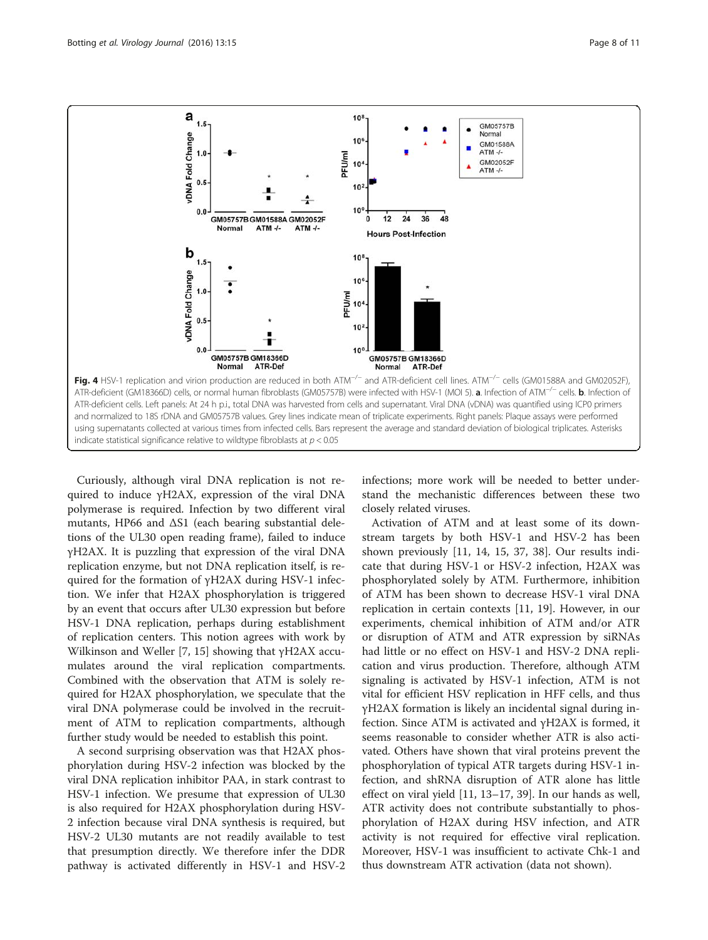<span id="page-7-0"></span>

Curiously, although viral DNA replication is not required to induce γH2AX, expression of the viral DNA polymerase is required. Infection by two different viral mutants, HP66 and ΔS1 (each bearing substantial deletions of the UL30 open reading frame), failed to induce γH2AX. It is puzzling that expression of the viral DNA replication enzyme, but not DNA replication itself, is required for the formation of γH2AX during HSV-1 infection. We infer that H2AX phosphorylation is triggered by an event that occurs after UL30 expression but before HSV-1 DNA replication, perhaps during establishment of replication centers. This notion agrees with work by Wilkinson and Weller [\[7](#page-9-0), [15](#page-9-0)] showing that γH2AX accumulates around the viral replication compartments. Combined with the observation that ATM is solely required for H2AX phosphorylation, we speculate that the viral DNA polymerase could be involved in the recruitment of ATM to replication compartments, although further study would be needed to establish this point.

A second surprising observation was that H2AX phosphorylation during HSV-2 infection was blocked by the viral DNA replication inhibitor PAA, in stark contrast to HSV-1 infection. We presume that expression of UL30 is also required for H2AX phosphorylation during HSV-2 infection because viral DNA synthesis is required, but HSV-2 UL30 mutants are not readily available to test that presumption directly. We therefore infer the DDR pathway is activated differently in HSV-1 and HSV-2 infections; more work will be needed to better understand the mechanistic differences between these two closely related viruses.

Activation of ATM and at least some of its downstream targets by both HSV-1 and HSV-2 has been shown previously [\[11](#page-9-0), [14](#page-9-0), [15](#page-9-0), [37](#page--1-0), [38](#page--1-0)]. Our results indicate that during HSV-1 or HSV-2 infection, H2AX was phosphorylated solely by ATM. Furthermore, inhibition of ATM has been shown to decrease HSV-1 viral DNA replication in certain contexts [[11](#page-9-0), [19\]](#page-9-0). However, in our experiments, chemical inhibition of ATM and/or ATR or disruption of ATM and ATR expression by siRNAs had little or no effect on HSV-1 and HSV-2 DNA replication and virus production. Therefore, although ATM signaling is activated by HSV-1 infection, ATM is not vital for efficient HSV replication in HFF cells, and thus γH2AX formation is likely an incidental signal during infection. Since ATM is activated and γH2AX is formed, it seems reasonable to consider whether ATR is also activated. Others have shown that viral proteins prevent the phosphorylation of typical ATR targets during HSV-1 infection, and shRNA disruption of ATR alone has little effect on viral yield [\[11](#page-9-0), [13](#page-9-0)–[17,](#page-9-0) [39\]](#page--1-0). In our hands as well, ATR activity does not contribute substantially to phosphorylation of H2AX during HSV infection, and ATR activity is not required for effective viral replication. Moreover, HSV-1 was insufficient to activate Chk-1 and thus downstream ATR activation (data not shown).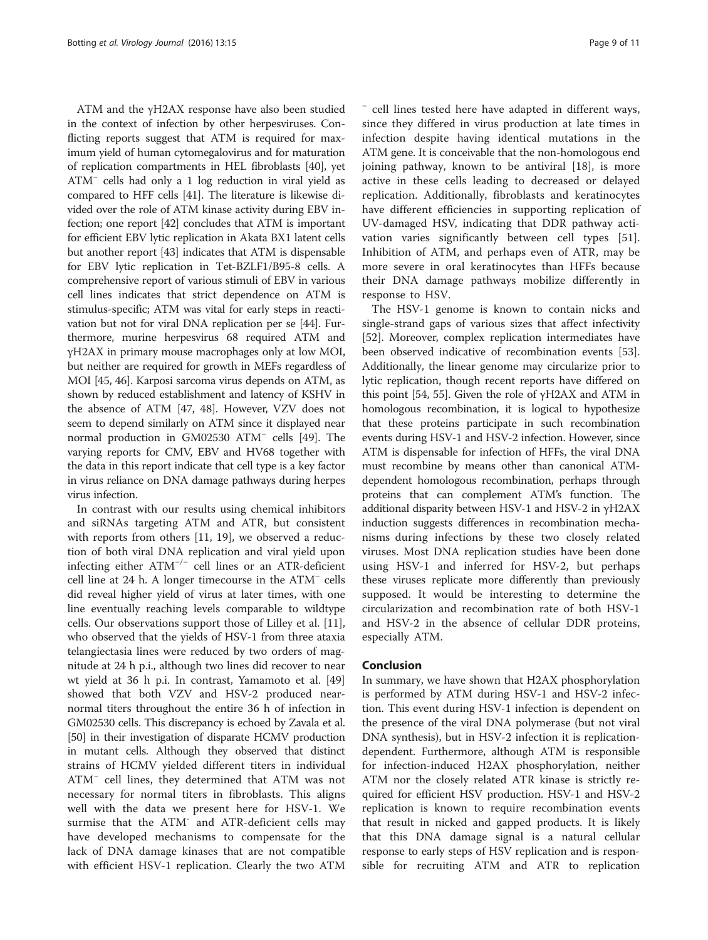ATM and the γH2AX response have also been studied in the context of infection by other herpesviruses. Conflicting reports suggest that ATM is required for maximum yield of human cytomegalovirus and for maturation of replication compartments in HEL fibroblasts [\[40\]](#page--1-0), yet ATM<sup>−</sup> cells had only a 1 log reduction in viral yield as compared to HFF cells [[41](#page--1-0)]. The literature is likewise divided over the role of ATM kinase activity during EBV infection; one report [\[42\]](#page--1-0) concludes that ATM is important for efficient EBV lytic replication in Akata BX1 latent cells but another report [\[43\]](#page--1-0) indicates that ATM is dispensable for EBV lytic replication in Tet-BZLF1/B95-8 cells. A comprehensive report of various stimuli of EBV in various cell lines indicates that strict dependence on ATM is stimulus-specific; ATM was vital for early steps in reactivation but not for viral DNA replication per se [\[44\]](#page--1-0). Furthermore, murine herpesvirus 68 required ATM and γH2AX in primary mouse macrophages only at low MOI, but neither are required for growth in MEFs regardless of MOI [\[45](#page--1-0), [46\]](#page--1-0). Karposi sarcoma virus depends on ATM, as shown by reduced establishment and latency of KSHV in the absence of ATM [\[47, 48](#page--1-0)]. However, VZV does not seem to depend similarly on ATM since it displayed near normal production in GM02530 ATM<sup>−</sup> cells [[49](#page--1-0)]. The varying reports for CMV, EBV and HV68 together with the data in this report indicate that cell type is a key factor in virus reliance on DNA damage pathways during herpes virus infection.

In contrast with our results using chemical inhibitors and siRNAs targeting ATM and ATR, but consistent with reports from others [[11](#page-9-0), [19](#page-9-0)], we observed a reduction of both viral DNA replication and viral yield upon infecting either ATM−/<sup>−</sup> cell lines or an ATR-deficient cell line at 24 h. A longer timecourse in the ATM<sup>−</sup> cells did reveal higher yield of virus at later times, with one line eventually reaching levels comparable to wildtype cells. Our observations support those of Lilley et al. [\[11](#page-9-0)], who observed that the yields of HSV-1 from three ataxia telangiectasia lines were reduced by two orders of magnitude at 24 h p.i., although two lines did recover to near wt yield at 36 h p.i. In contrast, Yamamoto et al. [[49](#page--1-0)] showed that both VZV and HSV-2 produced nearnormal titers throughout the entire 36 h of infection in GM02530 cells. This discrepancy is echoed by Zavala et al. [[50](#page--1-0)] in their investigation of disparate HCMV production in mutant cells. Although they observed that distinct strains of HCMV yielded different titers in individual ATM<sup>−</sup> cell lines, they determined that ATM was not necessary for normal titers in fibroblasts. This aligns well with the data we present here for HSV-1. We surmise that the ATM<sup>-</sup> and ATR-deficient cells may have developed mechanisms to compensate for the lack of DNA damage kinases that are not compatible with efficient HSV-1 replication. Clearly the two ATM

<sup>−</sup> cell lines tested here have adapted in different ways, since they differed in virus production at late times in infection despite having identical mutations in the ATM gene. It is conceivable that the non-homologous end joining pathway, known to be antiviral [[18\]](#page-9-0), is more active in these cells leading to decreased or delayed replication. Additionally, fibroblasts and keratinocytes have different efficiencies in supporting replication of UV-damaged HSV, indicating that DDR pathway activation varies significantly between cell types [\[51](#page--1-0)]. Inhibition of ATM, and perhaps even of ATR, may be more severe in oral keratinocytes than HFFs because their DNA damage pathways mobilize differently in response to HSV.

The HSV-1 genome is known to contain nicks and single-strand gaps of various sizes that affect infectivity [[52\]](#page--1-0). Moreover, complex replication intermediates have been observed indicative of recombination events [\[53](#page--1-0)]. Additionally, the linear genome may circularize prior to lytic replication, though recent reports have differed on this point [[54](#page--1-0), [55](#page--1-0)]. Given the role of γH2AX and ATM in homologous recombination, it is logical to hypothesize that these proteins participate in such recombination events during HSV-1 and HSV-2 infection. However, since ATM is dispensable for infection of HFFs, the viral DNA must recombine by means other than canonical ATMdependent homologous recombination, perhaps through proteins that can complement ATM's function. The additional disparity between HSV-1 and HSV-2 in γH2AX induction suggests differences in recombination mechanisms during infections by these two closely related viruses. Most DNA replication studies have been done using HSV-1 and inferred for HSV-2, but perhaps these viruses replicate more differently than previously supposed. It would be interesting to determine the circularization and recombination rate of both HSV-1 and HSV-2 in the absence of cellular DDR proteins, especially ATM.

#### Conclusion

In summary, we have shown that H2AX phosphorylation is performed by ATM during HSV-1 and HSV-2 infection. This event during HSV-1 infection is dependent on the presence of the viral DNA polymerase (but not viral DNA synthesis), but in HSV-2 infection it is replicationdependent. Furthermore, although ATM is responsible for infection-induced H2AX phosphorylation, neither ATM nor the closely related ATR kinase is strictly required for efficient HSV production. HSV-1 and HSV-2 replication is known to require recombination events that result in nicked and gapped products. It is likely that this DNA damage signal is a natural cellular response to early steps of HSV replication and is responsible for recruiting ATM and ATR to replication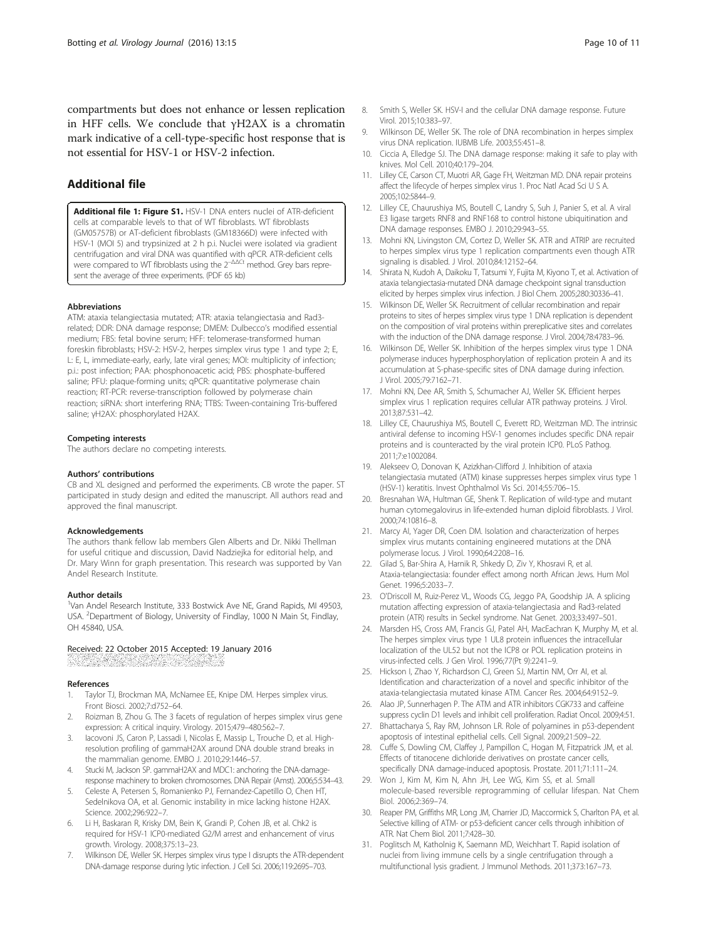<span id="page-9-0"></span>compartments but does not enhance or lessen replication in HFF cells. We conclude that γH2AX is a chromatin mark indicative of a cell-type-specific host response that is not essential for HSV-1 or HSV-2 infection.

## Additional file

[Additional file 1: Figure S1.](dx.doi.org/10.1186/s12985-016-0470-1) HSV-1 DNA enters nuclei of ATR-deficient cells at comparable levels to that of WT fibroblasts. WT fibroblasts (GM05757B) or AT-deficient fibroblasts (GM18366D) were infected with HSV-1 (MOI 5) and trypsinized at 2 h p.i. Nuclei were isolated via gradient centrifugation and viral DNA was quantified with qPCR. ATR-deficient cells were compared to WT fibroblasts using the 2<sup>-ΔΔCt</sup> method. Grey bars represent the average of three experiments. (PDF 65 kb)

#### Abbreviations

ATM: ataxia telangiectasia mutated; ATR: ataxia telangiectasia and Rad3 related; DDR: DNA damage response; DMEM: Dulbecco's modified essential medium; FBS: fetal bovine serum; HFF: telomerase-transformed human foreskin fibroblasts; HSV-2: HSV-2, herpes simplex virus type 1 and type 2; E, L: E, L, immediate-early, early, late viral genes; MOI: multiplicity of infection; p.i.: post infection; PAA: phosphonoacetic acid; PBS: phosphate-buffered saline; PFU: plaque-forming units; qPCR: quantitative polymerase chain reaction; RT-PCR: reverse-transcription followed by polymerase chain reaction; siRNA: short interfering RNA; TTBS: Tween-containing Tris-buffered saline; γH2AX: phosphorylated H2AX.

#### Competing interests

The authors declare no competing interests.

#### Authors' contributions

CB and XL designed and performed the experiments. CB wrote the paper. ST participated in study design and edited the manuscript. All authors read and approved the final manuscript.

#### Acknowledgements

The authors thank fellow lab members Glen Alberts and Dr. Nikki Thellman for useful critique and discussion, David Nadziejka for editorial help, and Dr. Mary Winn for graph presentation. This research was supported by Van Andel Research Institute.

#### Author details

<sup>1</sup>Van Andel Research Institute, 333 Bostwick Ave NE, Grand Rapids, MI 49503, USA. <sup>2</sup>Department of Biology, University of Findlay, 1000 N Main St, Findlay, OH 45840, USA.

# Received: 22 October 2015 Accepted: 19 January 2016

Dinamatikan dan banyak

#### References

- Taylor TJ, Brockman MA, McNamee EE, Knipe DM. Herpes simplex virus. Front Biosci. 2002;7:d752–64.
- 2. Roizman B, Zhou G. The 3 facets of regulation of herpes simplex virus gene expression: A critical inquiry. Virology. 2015;479–480:562–7.
- 3. Iacovoni JS, Caron P, Lassadi I, Nicolas E, Massip L, Trouche D, et al. Highresolution profiling of gammaH2AX around DNA double strand breaks in the mammalian genome. EMBO J. 2010;29:1446–57.
- Stucki M, Jackson SP. gammaH2AX and MDC1: anchoring the DNA-damageresponse machinery to broken chromosomes. DNA Repair (Amst). 2006;5:534–43.
- 5. Celeste A, Petersen S, Romanienko PJ, Fernandez-Capetillo O, Chen HT, Sedelnikova OA, et al. Genomic instability in mice lacking histone H2AX. Science. 2002;296:922–7.
- 6. Li H, Baskaran R, Krisky DM, Bein K, Grandi P, Cohen JB, et al. Chk2 is required for HSV-1 ICP0-mediated G2/M arrest and enhancement of virus growth. Virology. 2008;375:13–23.
- 7. Wilkinson DE, Weller SK. Herpes simplex virus type I disrupts the ATR-dependent DNA-damage response during lytic infection. J Cell Sci. 2006;119:2695–703.
- 8. Smith S, Weller SK. HSV-I and the cellular DNA damage response. Future Virol. 2015;10:383–97.
- 9. Wilkinson DE, Weller SK. The role of DNA recombination in herpes simplex virus DNA replication. IUBMB Life. 2003;55:451–8.
- 10. Ciccia A, Elledge SJ. The DNA damage response: making it safe to play with knives. Mol Cell. 2010;40:179–204.
- 11. Lilley CE, Carson CT, Muotri AR, Gage FH, Weitzman MD. DNA repair proteins affect the lifecycle of herpes simplex virus 1. Proc Natl Acad Sci U S A. 2005;102:5844–9.
- 12. Lilley CE, Chaurushiya MS, Boutell C, Landry S, Suh J, Panier S, et al. A viral E3 ligase targets RNF8 and RNF168 to control histone ubiquitination and DNA damage responses. EMBO J. 2010;29:943–55.
- 13. Mohni KN, Livingston CM, Cortez D, Weller SK. ATR and ATRIP are recruited to herpes simplex virus type 1 replication compartments even though ATR signaling is disabled. J Virol. 2010;84:12152–64.
- 14. Shirata N, Kudoh A, Daikoku T, Tatsumi Y, Fujita M, Kiyono T, et al. Activation of ataxia telangiectasia-mutated DNA damage checkpoint signal transduction elicited by herpes simplex virus infection. J Biol Chem. 2005;280:30336–41.
- 15. Wilkinson DE, Weller SK. Recruitment of cellular recombination and repair proteins to sites of herpes simplex virus type 1 DNA replication is dependent on the composition of viral proteins within prereplicative sites and correlates with the induction of the DNA damage response. J Virol. 2004;78:4783–96.
- 16. Wilkinson DE, Weller SK. Inhibition of the herpes simplex virus type 1 DNA polymerase induces hyperphosphorylation of replication protein A and its accumulation at S-phase-specific sites of DNA damage during infection. J Virol. 2005;79:7162–71.
- 17. Mohni KN, Dee AR, Smith S, Schumacher AJ, Weller SK. Efficient herpes simplex virus 1 replication requires cellular ATR pathway proteins. J Virol. 2013;87:531–42.
- 18. Lilley CE, Chaurushiya MS, Boutell C, Everett RD, Weitzman MD. The intrinsic antiviral defense to incoming HSV-1 genomes includes specific DNA repair proteins and is counteracted by the viral protein ICP0. PLoS Pathog. 2011;7:e1002084.
- 19. Alekseev O, Donovan K, Azizkhan-Clifford J. Inhibition of ataxia telangiectasia mutated (ATM) kinase suppresses herpes simplex virus type 1 (HSV-1) keratitis. Invest Ophthalmol Vis Sci. 2014;55:706–15.
- 20. Bresnahan WA, Hultman GE, Shenk T. Replication of wild-type and mutant human cytomegalovirus in life-extended human diploid fibroblasts. J Virol. 2000;74:10816–8.
- 21. Marcy AI, Yager DR, Coen DM. Isolation and characterization of herpes simplex virus mutants containing engineered mutations at the DNA polymerase locus. J Virol. 1990;64:2208–16.
- 22. Gilad S, Bar-Shira A, Harnik R, Shkedy D, Ziv Y, Khosravi R, et al. Ataxia-telangiectasia: founder effect among north African Jews. Hum Mol Genet. 1996;5:2033–7.
- 23. O'Driscoll M, Ruiz-Perez VL, Woods CG, Jeggo PA, Goodship JA. A splicing mutation affecting expression of ataxia-telangiectasia and Rad3-related protein (ATR) results in Seckel syndrome. Nat Genet. 2003;33:497–501.
- 24. Marsden HS, Cross AM, Francis GJ, Patel AH, MacEachran K, Murphy M, et al. The herpes simplex virus type 1 UL8 protein influences the intracellular localization of the UL52 but not the ICP8 or POL replication proteins in virus-infected cells. J Gen Virol. 1996;77(Pt 9):2241–9.
- 25. Hickson I, Zhao Y, Richardson CJ, Green SJ, Martin NM, Orr AI, et al. Identification and characterization of a novel and specific inhibitor of the ataxia-telangiectasia mutated kinase ATM. Cancer Res. 2004;64:9152–9.
- 26. Alao JP, Sunnerhagen P. The ATM and ATR inhibitors CGK733 and caffeine suppress cyclin D1 levels and inhibit cell proliferation. Radiat Oncol. 2009;4:51.
- 27. Bhattacharya S, Ray RM, Johnson LR. Role of polyamines in p53-dependent apoptosis of intestinal epithelial cells. Cell Signal. 2009;21:509–22.
- 28. Cuffe S, Dowling CM, Claffey J, Pampillon C, Hogan M, Fitzpatrick JM, et al. Effects of titanocene dichloride derivatives on prostate cancer cells, specifically DNA damage-induced apoptosis. Prostate. 2011;71:111–24.
- 29. Won J, Kim M, Kim N, Ahn JH, Lee WG, Kim SS, et al. Small molecule-based reversible reprogramming of cellular lifespan. Nat Chem Biol. 2006;2:369–74.
- 30. Reaper PM, Griffiths MR, Long JM, Charrier JD, Maccormick S, Charlton PA, et al. Selective killing of ATM- or p53-deficient cancer cells through inhibition of ATR. Nat Chem Biol. 2011;7:428–30.
- 31. Poglitsch M, Katholnig K, Saemann MD, Weichhart T. Rapid isolation of nuclei from living immune cells by a single centrifugation through a multifunctional lysis gradient. J Immunol Methods. 2011;373:167–73.